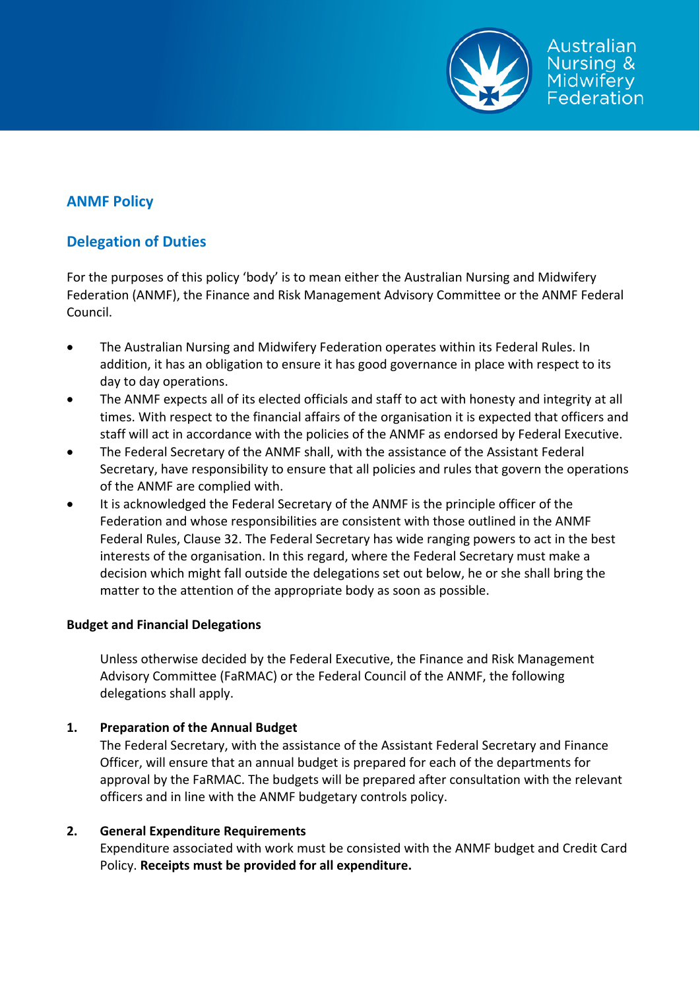

# **ANMF Policy**

# **Delegation of Duties**

For the purposes of this policy 'body' is to mean either the Australian Nursing and Midwifery Federation (ANMF), the Finance and Risk Management Advisory Committee or the ANMF Federal Council.

- The Australian Nursing and Midwifery Federation operates within its Federal Rules. In addition, it has an obligation to ensure it has good governance in place with respect to its day to day operations.
- The ANMF expects all of its elected officials and staff to act with honesty and integrity at all times. With respect to the financial affairs of the organisation it is expected that officers and staff will act in accordance with the policies of the ANMF as endorsed by Federal Executive.
- The Federal Secretary of the ANMF shall, with the assistance of the Assistant Federal Secretary, have responsibility to ensure that all policies and rules that govern the operations of the ANMF are complied with.
- It is acknowledged the Federal Secretary of the ANMF is the principle officer of the Federation and whose responsibilities are consistent with those outlined in the ANMF Federal Rules, Clause 32. The Federal Secretary has wide ranging powers to act in the best interests of the organisation. In this regard, where the Federal Secretary must make a decision which might fall outside the delegations set out below, he or she shall bring the matter to the attention of the appropriate body as soon as possible.

## **Budget and Financial Delegations**

Unless otherwise decided by the Federal Executive, the Finance and Risk Management Advisory Committee (FaRMAC) or the Federal Council of the ANMF, the following delegations shall apply.

## **1. Preparation of the Annual Budget**

The Federal Secretary, with the assistance of the Assistant Federal Secretary and Finance Officer, will ensure that an annual budget is prepared for each of the departments for approval by the FaRMAC. The budgets will be prepared after consultation with the relevant officers and in line with the ANMF budgetary controls policy.

## **2. General Expenditure Requirements**

Expenditure associated with work must be consisted with the ANMF budget and Credit Card Policy. **Receipts must be provided for all expenditure.**